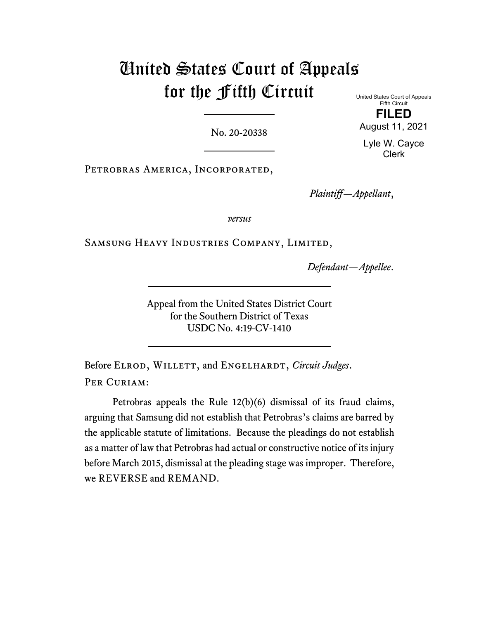# United States Court of Appeals for the Fifth Circuit

No. 20-20338

United States Court of Appeals Fifth Circuit **FILED**

August 11, 2021

Lyle W. Cayce Clerk

Petrobras America, Incorporated,

*Plaintiff—Appellant*,

*versus*

Samsung Heavy Industries Company, Limited,

*Defendant—Appellee*.

Appeal from the United States District Court for the Southern District of Texas USDC No. 4:19-CV-1410

Before ELROD, WILLETT, and ENGELHARDT, *Circuit Judges*. PER CURIAM:

Petrobras appeals the Rule 12(b)(6) dismissal of its fraud claims, arguing that Samsung did not establish that Petrobras's claims are barred by the applicable statute of limitations. Because the pleadings do not establish as a matter of law that Petrobras had actual or constructive notice of its injury before March 2015, dismissal at the pleading stage was improper. Therefore, we REVERSE and REMAND.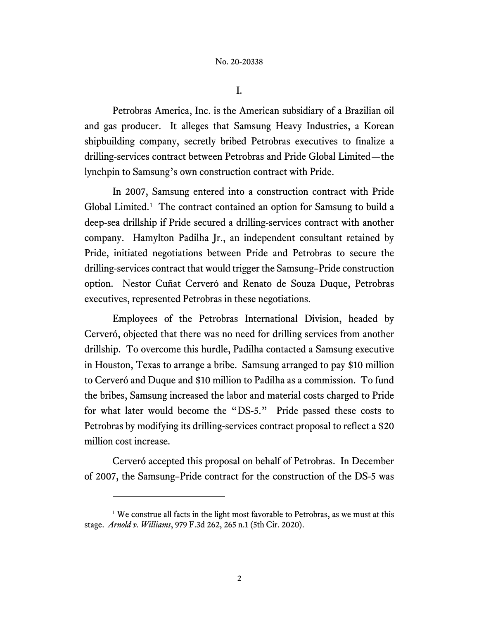I.

Petrobras America, Inc. is the American subsidiary of a Brazilian oil and gas producer. It alleges that Samsung Heavy Industries, a Korean shipbuilding company, secretly bribed Petrobras executives to finalize a drilling-services contract between Petrobras and Pride Global Limited—the lynchpin to Samsung's own construction contract with Pride.

In 2007, Samsung entered into a construction contract with Pride Global Limited.[1](#page-1-0) The contract contained an option for Samsung to build a deep-sea drillship if Pride secured a drilling-services contract with another company. Hamylton Padilha Jr., an independent consultant retained by Pride, initiated negotiations between Pride and Petrobras to secure the drilling-services contract that would trigger the Samsung–Pride construction option. Nestor Cuñat Cerveró and Renato de Souza Duque, Petrobras executives, represented Petrobras in these negotiations.

Employees of the Petrobras International Division, headed by Cerveró, objected that there was no need for drilling services from another drillship. To overcome this hurdle, Padilha contacted a Samsung executive in Houston, Texas to arrange a bribe. Samsung arranged to pay \$10 million to Cerveró and Duque and \$10 million to Padilha as a commission. To fund the bribes, Samsung increased the labor and material costs charged to Pride for what later would become the "DS-5." Pride passed these costs to Petrobras by modifying its drilling-services contract proposal to reflect a \$20 million cost increase.

Cerveró accepted this proposal on behalf of Petrobras. In December of 2007, the Samsung–Pride contract for the construction of the DS-5 was

<span id="page-1-0"></span><sup>&</sup>lt;sup>1</sup> We construe all facts in the light most favorable to Petrobras, as we must at this stage. *Arnold v. Williams*, 979 F.3d 262, 265 n.1 (5th Cir. 2020).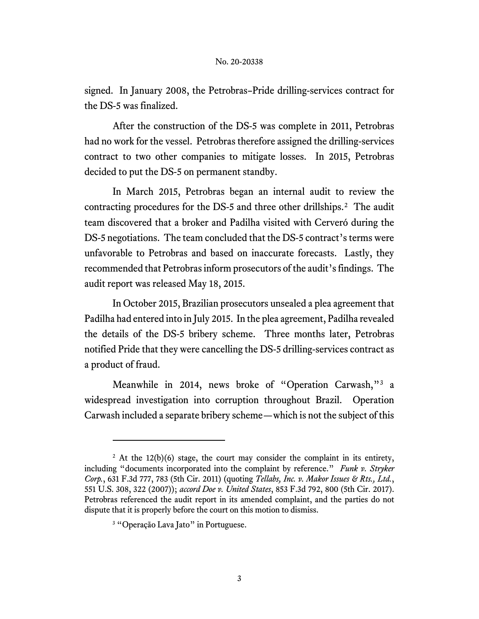signed. In January 2008, the Petrobras–Pride drilling-services contract for the DS-5 was finalized.

After the construction of the DS-5 was complete in 2011, Petrobras had no work for the vessel. Petrobras therefore assigned the drilling-services contract to two other companies to mitigate losses. In 2015, Petrobras decided to put the DS-5 on permanent standby.

In March 2015, Petrobras began an internal audit to review the contracting procedures for the DS-5 and three other drillships.[2](#page-2-0) The audit team discovered that a broker and Padilha visited with Cerveró during the DS-5 negotiations. The team concluded that the DS-5 contract's terms were unfavorable to Petrobras and based on inaccurate forecasts. Lastly, they recommended that Petrobras inform prosecutors of the audit's findings. The audit report was released May 18, 2015.

In October 2015, Brazilian prosecutors unsealed a plea agreement that Padilha had entered into in July 2015. In the plea agreement, Padilha revealed the details of the DS-5 bribery scheme. Three months later, Petrobras notified Pride that they were cancelling the DS-5 drilling-services contract as a product of fraud.

Meanwhile in 2014, news broke of "Operation Carwash,"[3](#page-2-1) a widespread investigation into corruption throughout Brazil. Operation Carwash included a separate bribery scheme—which is not the subject of this

<span id="page-2-1"></span><span id="page-2-0"></span> $2$  At the 12(b)(6) stage, the court may consider the complaint in its entirety, including "documents incorporated into the complaint by reference." *Funk v. Stryker Corp.*, 631 F.3d 777, 783 (5th Cir. 2011) (quoting *Tellabs, Inc. v. Makor Issues & Rts., Ltd.*, 551 U.S. 308, 322 (2007)); *accord Doe v. United States*, 853 F.3d 792, 800 (5th Cir. 2017). Petrobras referenced the audit report in its amended complaint, and the parties do not dispute that it is properly before the court on this motion to dismiss.

<sup>&</sup>lt;sup>3</sup> "Operação Lava Jato" in Portuguese.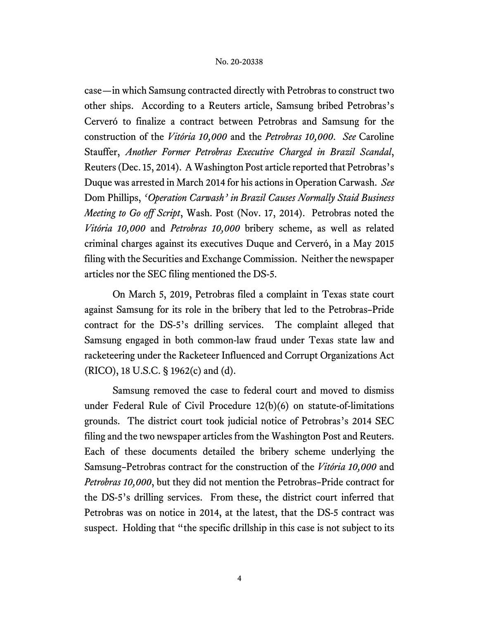case—in which Samsung contracted directly with Petrobras to construct two other ships. According to a Reuters article, Samsung bribed Petrobras's Cerveró to finalize a contract between Petrobras and Samsung for the construction of the *Vitória 10,000* and the *Petrobras 10,000*. *See* Caroline Stauffer, *Another Former Petrobras Executive Charged in Brazil Scandal*, Reuters (Dec. 15, 2014). A Washington Post article reported that Petrobras's Duque was arrested in March 2014 for his actions in Operation Carwash. *See*  Dom Phillips, *'Operation Carwash' in Brazil Causes Normally Staid Business Meeting to Go off Script*, Wash. Post (Nov. 17, 2014). Petrobras noted the *Vitória 10,000* and *Petrobras 10,000* bribery scheme, as well as related criminal charges against its executives Duque and Cerveró, in a May 2015 filing with the Securities and Exchange Commission. Neither the newspaper articles nor the SEC filing mentioned the DS-5.

On March 5, 2019, Petrobras filed a complaint in Texas state court against Samsung for its role in the bribery that led to the Petrobras–Pride contract for the DS-5's drilling services. The complaint alleged that Samsung engaged in both common-law fraud under Texas state law and racketeering under the Racketeer Influenced and Corrupt Organizations Act (RICO), 18 U.S.C. § 1962(c) and (d).

Samsung removed the case to federal court and moved to dismiss under Federal Rule of Civil Procedure 12(b)(6) on statute-of-limitations grounds. The district court took judicial notice of Petrobras's 2014 SEC filing and the two newspaper articles from the Washington Post and Reuters. Each of these documents detailed the bribery scheme underlying the Samsung–Petrobras contract for the construction of the *Vitória 10,000* and *Petrobras 10,000*, but they did not mention the Petrobras–Pride contract for the DS-5's drilling services. From these, the district court inferred that Petrobras was on notice in 2014, at the latest, that the DS-5 contract was suspect. Holding that "the specific drillship in this case is not subject to its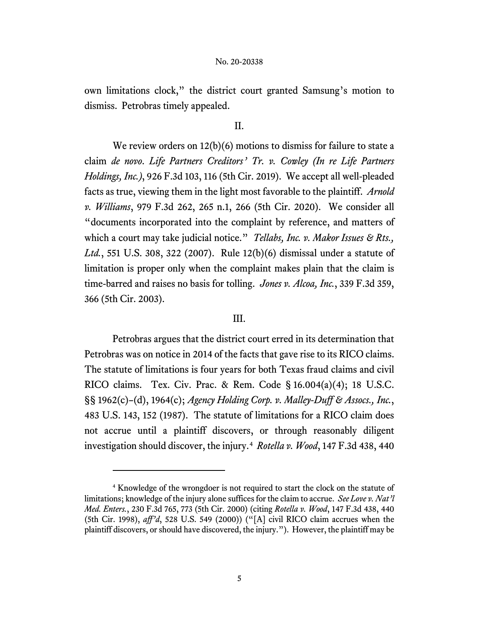own limitations clock," the district court granted Samsung's motion to dismiss. Petrobras timely appealed.

## II.

We review orders on 12(b)(6) motions to dismiss for failure to state a claim *de novo*. *Life Partners Creditors' Tr. v. Cowley (In re Life Partners Holdings, Inc.)*, 926 F.3d 103, 116 (5th Cir. 2019). We accept all well-pleaded facts as true, viewing them in the light most favorable to the plaintiff. *Arnold v. Williams*, 979 F.3d 262, 265 n.1, 266 (5th Cir. 2020). We consider all "documents incorporated into the complaint by reference, and matters of which a court may take judicial notice." *Tellabs, Inc. v. Makor Issues & Rts., Ltd.*, 551 U.S. 308, 322 (2007). Rule 12(b)(6) dismissal under a statute of limitation is proper only when the complaint makes plain that the claim is time-barred and raises no basis for tolling. *Jones v. Alcoa, Inc.*, 339 F.3d 359, 366 (5th Cir. 2003).

## III.

Petrobras argues that the district court erred in its determination that Petrobras was on notice in 2014 of the facts that gave rise to its RICO claims. The statute of limitations is four years for both Texas fraud claims and civil RICO claims. Tex. Civ. Prac. & Rem. Code § 16.004(a)(4); 18 U.S.C. §§ 1962(c)–(d), 1964(c); *Agency Holding Corp. v. Malley-Duff & Assocs., Inc.*, 483 U.S. 143, 152 (1987). The statute of limitations for a RICO claim does not accrue until a plaintiff discovers, or through reasonably diligent investigation should discover, the injury.[4](#page-4-0) *Rotella v. Wood*, 147 F.3d 438, 440

<span id="page-4-0"></span><sup>4</sup> Knowledge of the wrongdoer is not required to start the clock on the statute of limitations; knowledge of the injury alone suffices for the claim to accrue. *See Love v. Nat'l Med. Enters.*, 230 F.3d 765, 773 (5th Cir. 2000) (citing *Rotella v. Wood*, 147 F.3d 438, 440 (5th Cir. 1998), *aff'd*, 528 U.S. 549 (2000)) ("[A] civil RICO claim accrues when the plaintiff discovers, or should have discovered, the injury."). However, the plaintiff may be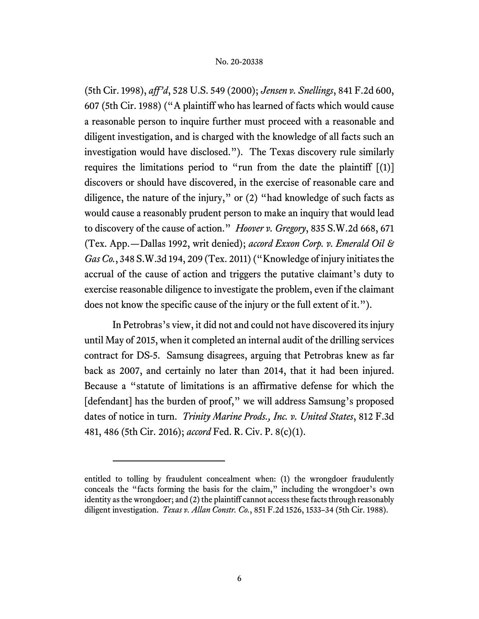(5th Cir. 1998), *aff'd*, 528 U.S. 549 (2000); *Jensen v. Snellings*, 841 F.2d 600, 607 (5th Cir. 1988) ("A plaintiff who has learned of facts which would cause a reasonable person to inquire further must proceed with a reasonable and diligent investigation, and is charged with the knowledge of all facts such an investigation would have disclosed."). The Texas discovery rule similarly requires the limitations period to "run from the date the plaintiff  $[(1)]$ discovers or should have discovered, in the exercise of reasonable care and diligence, the nature of the injury," or (2) "had knowledge of such facts as would cause a reasonably prudent person to make an inquiry that would lead to discovery of the cause of action." *Hoover v. Gregory*, 835 S.W.2d 668, 671 (Tex. App.—Dallas 1992, writ denied); *accord Exxon Corp. v. Emerald Oil & Gas Co.*, 348 S.W.3d 194, 209 (Tex. 2011) ("Knowledge of injury initiates the accrual of the cause of action and triggers the putative claimant's duty to exercise reasonable diligence to investigate the problem, even if the claimant does not know the specific cause of the injury or the full extent of it.").

In Petrobras's view, it did not and could not have discovered its injury until May of 2015, when it completed an internal audit of the drilling services contract for DS-5. Samsung disagrees, arguing that Petrobras knew as far back as 2007, and certainly no later than 2014, that it had been injured. Because a "statute of limitations is an affirmative defense for which the [defendant] has the burden of proof," we will address Samsung's proposed dates of notice in turn. *Trinity Marine Prods., Inc. v. United States*, 812 F.3d 481, 486 (5th Cir. 2016); *accord* Fed. R. Civ. P. 8(c)(1).

entitled to tolling by fraudulent concealment when: (1) the wrongdoer fraudulently conceals the "facts forming the basis for the claim," including the wrongdoer's own identity as the wrongdoer; and (2) the plaintiff cannot access these facts through reasonably diligent investigation. *Texas v. Allan Constr. Co.*, 851 F.2d 1526, 1533–34 (5th Cir. 1988).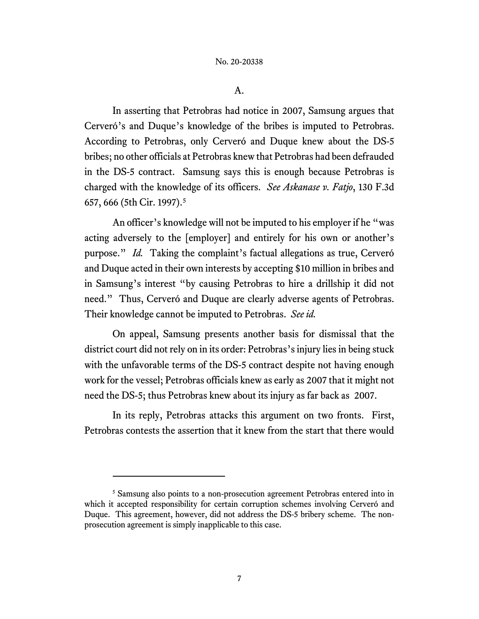A.

In asserting that Petrobras had notice in 2007, Samsung argues that Cerveró's and Duque's knowledge of the bribes is imputed to Petrobras. According to Petrobras, only Cerveró and Duque knew about the DS-5 bribes; no other officials at Petrobras knew that Petrobras had been defrauded in the DS-5 contract. Samsung says this is enough because Petrobras is charged with the knowledge of its officers. *See Askanase v. Fatjo*, 130 F.3d 657, 666 (5th Cir. 1997).[5](#page-6-0)

An officer's knowledge will not be imputed to his employer if he "was acting adversely to the [employer] and entirely for his own or another's purpose." *Id.* Taking the complaint's factual allegations as true, Cerveró and Duque acted in their own interests by accepting \$10 million in bribes and in Samsung's interest "by causing Petrobras to hire a drillship it did not need." Thus, Cerveró and Duque are clearly adverse agents of Petrobras. Their knowledge cannot be imputed to Petrobras. *See id.*

On appeal, Samsung presents another basis for dismissal that the district court did not rely on in its order: Petrobras's injury lies in being stuck with the unfavorable terms of the DS-5 contract despite not having enough work for the vessel; Petrobras officials knew as early as 2007 that it might not need the DS-5; thus Petrobras knew about its injury as far back as 2007.

In its reply, Petrobras attacks this argument on two fronts. First, Petrobras contests the assertion that it knew from the start that there would

<span id="page-6-0"></span><sup>&</sup>lt;sup>5</sup> Samsung also points to a non-prosecution agreement Petrobras entered into in which it accepted responsibility for certain corruption schemes involving Cerveró and Duque. This agreement, however, did not address the DS-5 bribery scheme. The nonprosecution agreement is simply inapplicable to this case.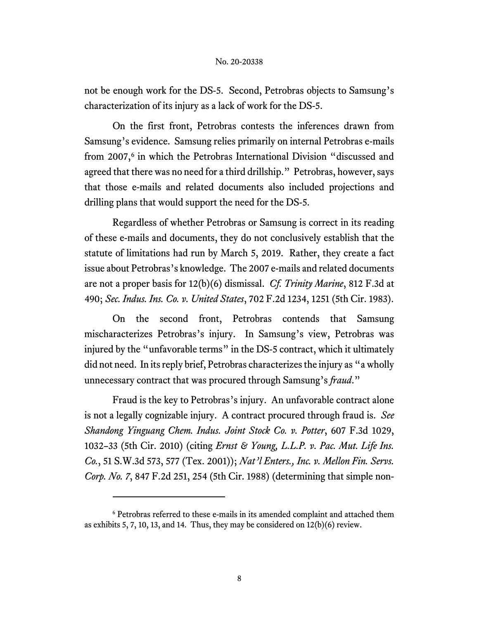not be enough work for the DS-5. Second, Petrobras objects to Samsung's characterization of its injury as a lack of work for the DS-5.

On the first front, Petrobras contests the inferences drawn from Samsung's evidence. Samsung relies primarily on internal Petrobras e-mails from 2007,<sup>[6](#page-7-0)</sup> in which the Petrobras International Division "discussed and agreed that there was no need for a third drillship." Petrobras, however, says that those e-mails and related documents also included projections and drilling plans that would support the need for the DS-5.

Regardless of whether Petrobras or Samsung is correct in its reading of these e-mails and documents, they do not conclusively establish that the statute of limitations had run by March 5, 2019. Rather, they create a fact issue about Petrobras's knowledge. The 2007 e-mails and related documents are not a proper basis for 12(b)(6) dismissal. *Cf. Trinity Marine*, 812 F.3d at 490; *Sec. Indus. Ins. Co. v. United States*, 702 F.2d 1234, 1251 (5th Cir. 1983).

On the second front, Petrobras contends that Samsung mischaracterizes Petrobras's injury. In Samsung's view, Petrobras was injured by the "unfavorable terms" in the DS-5 contract, which it ultimately did not need. In its reply brief, Petrobras characterizes the injury as "a wholly unnecessary contract that was procured through Samsung's *fraud*."

Fraud is the key to Petrobras's injury. An unfavorable contract alone is not a legally cognizable injury. A contract procured through fraud is. *See Shandong Yinguang Chem. Indus. Joint Stock Co. v. Potter*, 607 F.3d 1029, 1032–33 (5th Cir. 2010) (citing *Ernst & Young, L.L.P. v. Pac. Mut. Life Ins. Co.*, 51 S.W.3d 573, 577 (Tex. 2001)); *Nat'l Enters., Inc. v. Mellon Fin. Servs. Corp. No. 7*, 847 F.2d 251, 254 (5th Cir. 1988) (determining that simple non-

<span id="page-7-0"></span><sup>6</sup> Petrobras referred to these e-mails in its amended complaint and attached them as exhibits 5, 7, 10, 13, and 14. Thus, they may be considered on 12(b)(6) review.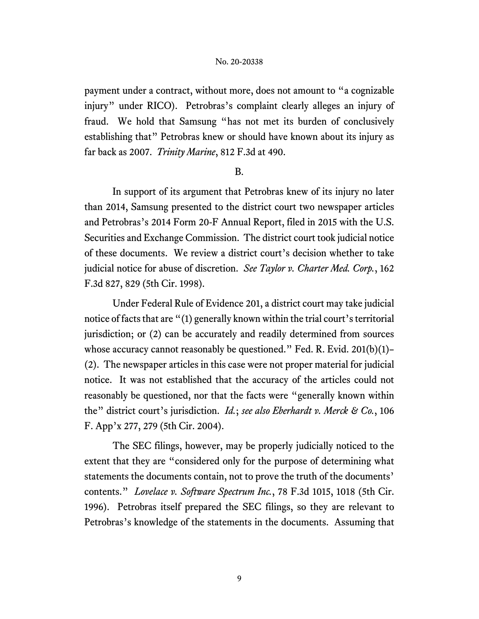payment under a contract, without more, does not amount to "a cognizable injury" under RICO). Petrobras's complaint clearly alleges an injury of fraud. We hold that Samsung "has not met its burden of conclusively establishing that" Petrobras knew or should have known about its injury as far back as 2007. *Trinity Marine*, 812 F.3d at 490.

## B.

In support of its argument that Petrobras knew of its injury no later than 2014, Samsung presented to the district court two newspaper articles and Petrobras's 2014 Form 20-F Annual Report, filed in 2015 with the U.S. Securities and Exchange Commission. The district court took judicial notice of these documents. We review a district court's decision whether to take judicial notice for abuse of discretion. *See Taylor v. Charter Med. Corp.*, 162 F.3d 827, 829 (5th Cir. 1998).

Under Federal Rule of Evidence 201, a district court may take judicial notice of facts that are "(1) generally known within the trial court's territorial jurisdiction; or (2) can be accurately and readily determined from sources whose accuracy cannot reasonably be questioned." Fed. R. Evid. 201(b)(1)– (2). The newspaper articles in this case were not proper material for judicial notice. It was not established that the accuracy of the articles could not reasonably be questioned, nor that the facts were "generally known within the" district court's jurisdiction. *Id.*; *see also Eberhardt v. Merck & Co.*, 106 F. App'x 277, 279 (5th Cir. 2004).

The SEC filings, however, may be properly judicially noticed to the extent that they are "considered only for the purpose of determining what statements the documents contain, not to prove the truth of the documents' contents." *Lovelace v. Software Spectrum Inc.*, 78 F.3d 1015, 1018 (5th Cir. 1996). Petrobras itself prepared the SEC filings, so they are relevant to Petrobras's knowledge of the statements in the documents. Assuming that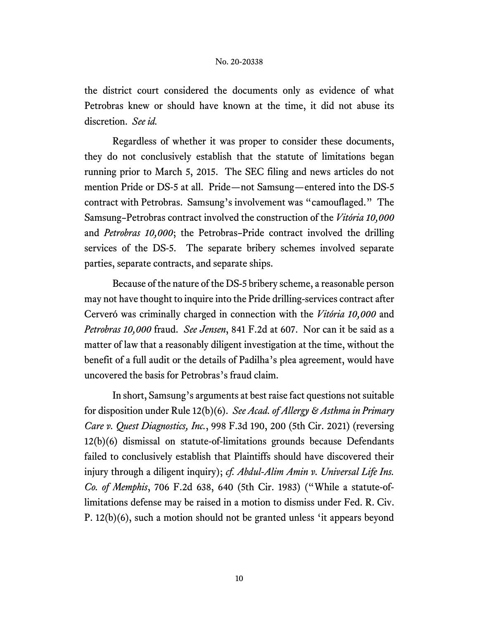the district court considered the documents only as evidence of what Petrobras knew or should have known at the time, it did not abuse its discretion. *See id.*

Regardless of whether it was proper to consider these documents, they do not conclusively establish that the statute of limitations began running prior to March 5, 2015. The SEC filing and news articles do not mention Pride or DS-5 at all. Pride—not Samsung—entered into the DS-5 contract with Petrobras. Samsung's involvement was "camouflaged." The Samsung–Petrobras contract involved the construction of the *Vitória 10,000* and *Petrobras 10,000*; the Petrobras–Pride contract involved the drilling services of the DS-5. The separate bribery schemes involved separate parties, separate contracts, and separate ships.

Because of the nature of the DS-5 bribery scheme, a reasonable person may not have thought to inquire into the Pride drilling-services contract after Cerveró was criminally charged in connection with the *Vitória 10,000* and *Petrobras 10,000* fraud. *See Jensen*, 841 F.2d at 607. Nor can it be said as a matter of law that a reasonably diligent investigation at the time, without the benefit of a full audit or the details of Padilha's plea agreement, would have uncovered the basis for Petrobras's fraud claim.

In short, Samsung's arguments at best raise fact questions not suitable for disposition under Rule 12(b)(6). *See Acad. of Allergy & Asthma in Primary Care v. Quest Diagnostics, Inc.*, 998 F.3d 190, 200 (5th Cir. 2021) (reversing 12(b)(6) dismissal on statute-of-limitations grounds because Defendants failed to conclusively establish that Plaintiffs should have discovered their injury through a diligent inquiry); *cf. Abdul-Alim Amin v. Universal Life Ins. Co. of Memphis*, 706 F.2d 638, 640 (5th Cir. 1983) ("While a statute-oflimitations defense may be raised in a motion to dismiss under Fed. R. Civ. P. 12(b)(6), such a motion should not be granted unless 'it appears beyond